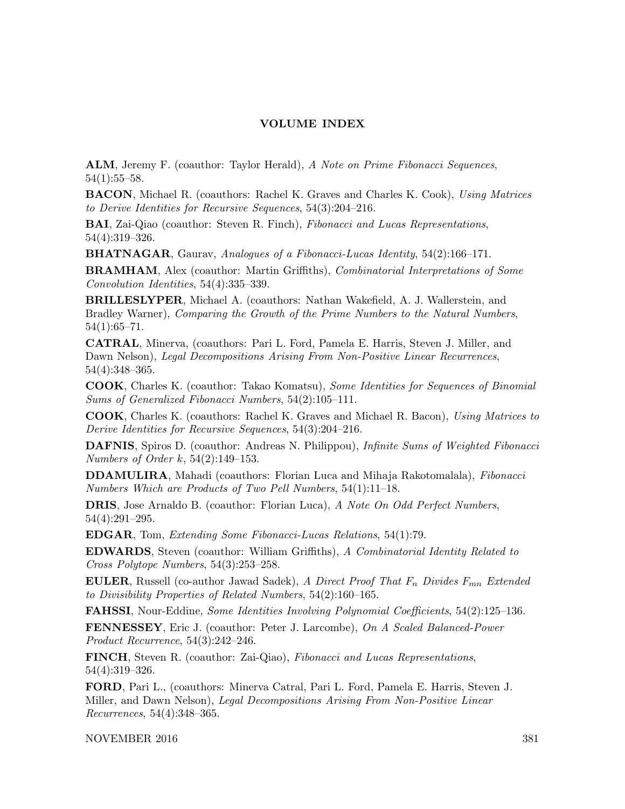## VOLUME INDEX

ALM, Jeremy F. (coauthor: Taylor Herald), A Note on Prime Fibonacci Sequences, 54(1):55–58.

BACON, Michael R. (coauthors: Rachel K. Graves and Charles K. Cook), Using Matrices to Derive Identities for Recursive Sequences, 54(3):204–216.

BAI, Zai-Qiao (coauthor: Steven R. Finch), Fibonacci and Lucas Representations, 54(4):319–326.

BHATNAGAR, Gaurav, Analogues of a Fibonacci-Lucas Identity, 54(2):166–171.

BRAMHAM, Alex (coauthor: Martin Griffiths), Combinatorial Interpretations of Some Convolution Identities, 54(4):335–339.

BRILLESLYPER, Michael A. (coauthors: Nathan Wakefield, A. J. Wallerstein, and Bradley Warner), Comparing the Growth of the Prime Numbers to the Natural Numbers, 54(1):65–71.

CATRAL, Minerva, (coauthors: Pari L. Ford, Pamela E. Harris, Steven J. Miller, and Dawn Nelson), Legal Decompositions Arising From Non-Positive Linear Recurrences, 54(4):348–365.

COOK, Charles K. (coauthor: Takao Komatsu), Some Identities for Sequences of Binomial Sums of Generalized Fibonacci Numbers, 54(2):105–111.

COOK, Charles K. (coauthors: Rachel K. Graves and Michael R. Bacon), Using Matrices to Derive Identities for Recursive Sequences, 54(3):204–216.

**DAFNIS**, Spiros D. (coauthor: Andreas N. Philippou), *Infinite Sums of Weighted Fibonacci* Numbers of Order k, 54(2):149–153.

DDAMULIRA, Mahadi (coauthors: Florian Luca and Mihaja Rakotomalala), Fibonacci Numbers Which are Products of Two Pell Numbers, 54(1):11–18.

DRIS, Jose Arnaldo B. (coauthor: Florian Luca), A Note On Odd Perfect Numbers, 54(4):291–295.

EDGAR, Tom, Extending Some Fibonacci-Lucas Relations, 54(1):79.

EDWARDS, Steven (coauthor: William Griffiths), A Combinatorial Identity Related to Cross Polytope Numbers, 54(3):253–258.

**EULER**, Russell (co-author Jawad Sadek), A Direct Proof That  $F_n$  Divides  $F_{mn}$  Extended to Divisibility Properties of Related Numbers, 54(2):160–165.

FAHSSI, Nour-Eddine, Some Identities Involving Polynomial Coefficients, 54(2):125–136.

FENNESSEY, Eric J. (coauthor: Peter J. Larcombe), On A Scaled Balanced-Power Product Recurrence, 54(3):242–246.

FINCH, Steven R. (coauthor: Zai-Qiao), Fibonacci and Lucas Representations, 54(4):319–326.

FORD, Pari L., (coauthors: Minerva Catral, Pari L. Ford, Pamela E. Harris, Steven J. Miller, and Dawn Nelson), Legal Decompositions Arising From Non-Positive Linear Recurrences, 54(4):348–365.

NOVEMBER 2016 381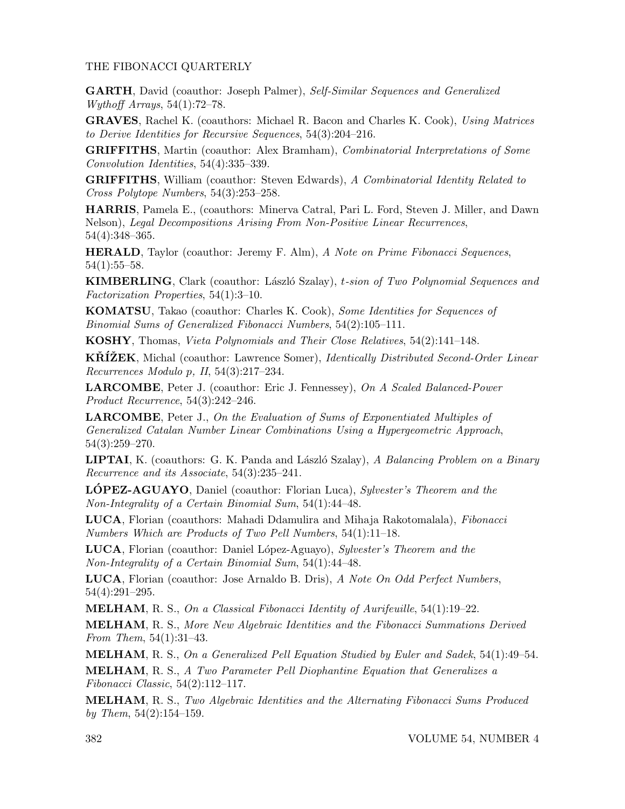## THE FIBONACCI QUARTERLY

GARTH, David (coauthor: Joseph Palmer), Self-Similar Sequences and Generalized Wythoff Arrays, 54(1):72–78.

GRAVES, Rachel K. (coauthors: Michael R. Bacon and Charles K. Cook), Using Matrices to Derive Identities for Recursive Sequences, 54(3):204–216.

GRIFFITHS, Martin (coauthor: Alex Bramham), Combinatorial Interpretations of Some Convolution Identities, 54(4):335–339.

GRIFFITHS, William (coauthor: Steven Edwards), A Combinatorial Identity Related to Cross Polytope Numbers, 54(3):253–258.

HARRIS, Pamela E., (coauthors: Minerva Catral, Pari L. Ford, Steven J. Miller, and Dawn Nelson), Legal Decompositions Arising From Non-Positive Linear Recurrences, 54(4):348–365.

HERALD, Taylor (coauthor: Jeremy F. Alm), A Note on Prime Fibonacci Sequences, 54(1):55–58.

KIMBERLING, Clark (coauthor: László Szalay), t-sion of Two Polynomial Sequences and Factorization Properties, 54(1):3–10.

KOMATSU, Takao (coauthor: Charles K. Cook), Some Identities for Sequences of Binomial Sums of Generalized Fibonacci Numbers, 54(2):105–111.

KOSHY, Thomas, Vieta Polynomials and Their Close Relatives, 54(2):141–148.

**KRIZEK**, Michal (coauthor: Lawrence Somer), *Identically Distributed Second-Order Linear* Recurrences Modulo p, II, 54(3):217–234.

LARCOMBE, Peter J. (coauthor: Eric J. Fennessey), On A Scaled Balanced-Power Product Recurrence, 54(3):242–246.

LARCOMBE, Peter J., On the Evaluation of Sums of Exponentiated Multiples of Generalized Catalan Number Linear Combinations Using a Hypergeometric Approach, 54(3):259–270.

**LIPTAI**, K. (coauthors: G. K. Panda and László Szalay), A Balancing Problem on a Binary Recurrence and its Associate, 54(3):235–241.

**LÓPEZ-AGUAYO**, Daniel (coauthor: Florian Luca), Sylvester's Theorem and the Non-Integrality of a Certain Binomial Sum, 54(1):44–48.

LUCA, Florian (coauthors: Mahadi Ddamulira and Mihaja Rakotomalala), Fibonacci Numbers Which are Products of Two Pell Numbers, 54(1):11–18.

LUCA, Florian (coauthor: Daniel López-Aguayo), Sylvester's Theorem and the Non-Integrality of a Certain Binomial Sum, 54(1):44–48.

LUCA, Florian (coauthor: Jose Arnaldo B. Dris), A Note On Odd Perfect Numbers, 54(4):291–295.

**MELHAM,** R. S., On a Classical Fibonacci Identity of Aurifeuille,  $54(1):19-22$ .

MELHAM, R. S., More New Algebraic Identities and the Fibonacci Summations Derived From Them, 54(1):31–43.

MELHAM, R. S., On a Generalized Pell Equation Studied by Euler and Sadek, 54(1):49–54.

MELHAM, R. S., A Two Parameter Pell Diophantine Equation that Generalizes a  $Fibonacci Classic, 54(2):112-117.$ 

MELHAM, R. S., Two Algebraic Identities and the Alternating Fibonacci Sums Produced by Them,  $54(2):154-159$ .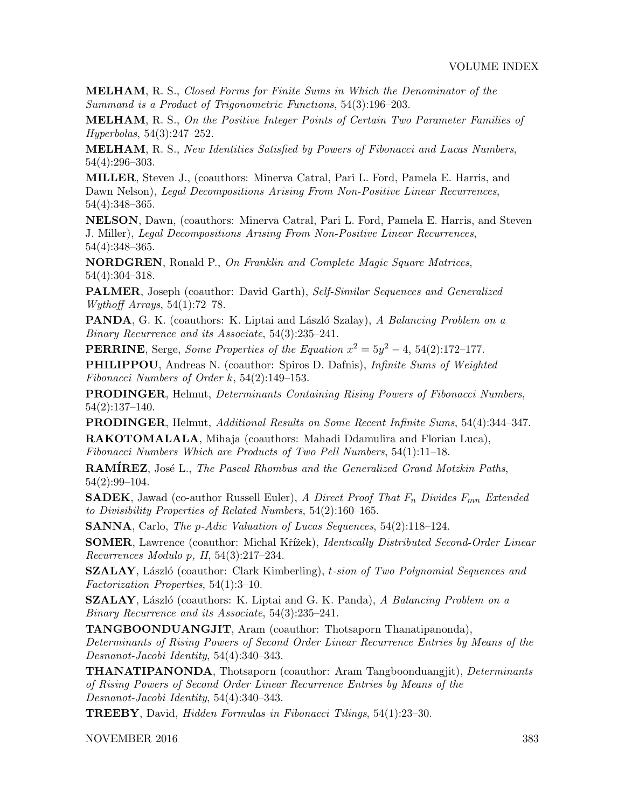MELHAM, R. S., Closed Forms for Finite Sums in Which the Denominator of the Summand is a Product of Trigonometric Functions, 54(3):196–203.

MELHAM, R. S., On the Positive Integer Points of Certain Two Parameter Families of Hyperbolas, 54(3):247–252.

MELHAM, R. S., New Identities Satisfied by Powers of Fibonacci and Lucas Numbers, 54(4):296–303.

MILLER, Steven J., (coauthors: Minerva Catral, Pari L. Ford, Pamela E. Harris, and Dawn Nelson), Legal Decompositions Arising From Non-Positive Linear Recurrences, 54(4):348–365.

NELSON, Dawn, (coauthors: Minerva Catral, Pari L. Ford, Pamela E. Harris, and Steven J. Miller), Legal Decompositions Arising From Non-Positive Linear Recurrences, 54(4):348–365.

NORDGREN, Ronald P., On Franklin and Complete Magic Square Matrices, 54(4):304–318.

PALMER, Joseph (coauthor: David Garth), Self-Similar Sequences and Generalized Wythoff Arrays, 54(1):72–78.

**PANDA**, G. K. (coauthors: K. Liptai and László Szalay), A Balancing Problem on a Binary Recurrence and its Associate, 54(3):235–241.

**PERRINE**, Serge, *Some Properties of the Equation*  $x^2 = 5y^2 - 4$ , 54(2):172–177.

PHILIPPOU, Andreas N. (coauthor: Spiros D. Dafnis), Infinite Sums of Weighted Fibonacci Numbers of Order k, 54(2):149–153.

PRODINGER, Helmut, Determinants Containing Rising Powers of Fibonacci Numbers, 54(2):137–140.

PRODINGER, Helmut, Additional Results on Some Recent Infinite Sums, 54(4):344–347. RAKOTOMALALA, Mihaja (coauthors: Mahadi Ddamulira and Florian Luca),

Fibonacci Numbers Which are Products of Two Pell Numbers, 54(1):11–18.

**RAMÍREZ**, José L., The Pascal Rhombus and the Generalized Grand Motzkin Paths, 54(2):99–104.

**SADEK**, Jawad (co-author Russell Euler), A Direct Proof That  $F_n$  Divides  $F_{mn}$  Extended to Divisibility Properties of Related Numbers, 54(2):160–165.

SANNA, Carlo, The p-Adic Valuation of Lucas Sequences, 54(2):118–124.

**SOMER**, Lawrence (coauthor: Michal Křížek), *Identically Distributed Second-Order Linear* Recurrences Modulo p, II, 54(3):217–234.

**SZALAY**, László (coauthor: Clark Kimberling), t-sion of Two Polynomial Sequences and Factorization Properties, 54(1):3–10.

SZALAY, László (coauthors: K. Liptai and G. K. Panda), A Balancing Problem on a Binary Recurrence and its Associate, 54(3):235–241.

TANGBOONDUANGJIT, Aram (coauthor: Thotsaporn Thanatipanonda),

Determinants of Rising Powers of Second Order Linear Recurrence Entries by Means of the Desnanot-Jacobi Identity, 54(4):340–343.

THANATIPANONDA, Thotsaporn (coauthor: Aram Tangboonduangjit), Determinants of Rising Powers of Second Order Linear Recurrence Entries by Means of the Desnanot-Jacobi Identity, 54(4):340–343.

TREEBY, David, Hidden Formulas in Fibonacci Tilings, 54(1):23–30.

NOVEMBER 2016 383